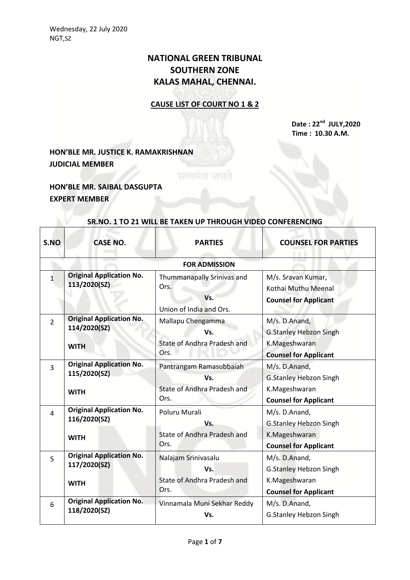## **NATIONAL GREEN TRIBUNAL SOUTHERN ZONE KALAS MAHAL, CHENNAI.**

## **CAUSE LIST OF COURT NO 1 & 2**

**Date : 22nd JULY,2020 Time : 10.30 A.M.**

**HON'BLE MR. JUSTICE K. RAMAKRISHNAN JUDICIAL MEMBER**

**HON'BLE MR. SAIBAL DASGUPTA EXPERT MEMBER**

| S.NO           | <b>CASE NO.</b>                                                | <b>PARTIES</b>                                                        | <b>COUNSEL FOR PARTIES</b>                                                                      |  |  |
|----------------|----------------------------------------------------------------|-----------------------------------------------------------------------|-------------------------------------------------------------------------------------------------|--|--|
|                | <b>FOR ADMISSION</b>                                           |                                                                       |                                                                                                 |  |  |
| $\mathbf{1}$   | <b>Original Application No.</b><br>113/2020(SZ)                | Thummanapally Srinivas and<br>Ors.<br>Vs.<br>Union of India and Ors.  | M/s. Sravan Kumar,<br>Kothai Muthu Meenal<br><b>Counsel for Applicant</b>                       |  |  |
| $\overline{2}$ | <b>Original Application No.</b><br>114/2020(SZ)<br><b>WITH</b> | Mallapu Chengamma<br>Vs.<br>State of Andhra Pradesh and<br>Ors.       | M/s. D.Anand,<br><b>G.Stanley Hebzon Singh</b><br>K.Mageshwaran<br><b>Counsel for Applicant</b> |  |  |
| $\overline{3}$ | <b>Original Application No.</b><br>115/2020(SZ)<br><b>WITH</b> | Pantrangam Ramasubbaiah<br>Vs.<br>State of Andhra Pradesh and<br>Ors. | M/s. D.Anand,<br><b>G.Stanley Hebzon Singh</b><br>K.Mageshwaran<br><b>Counsel for Applicant</b> |  |  |
| 4              | <b>Original Application No.</b><br>116/2020(SZ)<br><b>WITH</b> | Poluru Murali<br>Vs.<br>State of Andhra Pradesh and<br>Ors.           | M/s. D.Anand,<br><b>G.Stanley Hebzon Singh</b><br>K.Mageshwaran<br><b>Counsel for Applicant</b> |  |  |
| 5              | <b>Original Application No.</b><br>117/2020(SZ)<br><b>WITH</b> | Nalajam Srinivasalu<br>Vs.<br>State of Andhra Pradesh and<br>Ors.     | M/s. D.Anand,<br><b>G.Stanley Hebzon Singh</b><br>K.Mageshwaran<br><b>Counsel for Applicant</b> |  |  |
| 6              | <b>Original Application No.</b><br>118/2020(SZ)                | Vinnamala Muni Sekhar Reddy<br>Vs.                                    | M/s. D.Anand,<br><b>G.Stanley Hebzon Singh</b>                                                  |  |  |

## **SR.NO. 1 TO 21 WILL BE TAKEN UP THROUGH VIDEO CONFERENCING**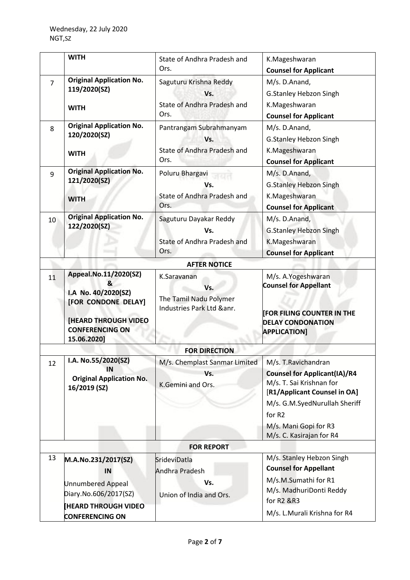|                | <b>WITH</b>                                                                                                                                      | State of Andhra Pradesh and<br>Ors.                                       | K.Mageshwaran<br><b>Counsel for Applicant</b>                                                                                                                                                                           |
|----------------|--------------------------------------------------------------------------------------------------------------------------------------------------|---------------------------------------------------------------------------|-------------------------------------------------------------------------------------------------------------------------------------------------------------------------------------------------------------------------|
| $\overline{7}$ | <b>Original Application No.</b><br>119/2020(SZ)<br><b>WITH</b>                                                                                   | Saguturu Krishna Reddy<br>Vs.<br>State of Andhra Pradesh and<br>Ors.      | M/s. D.Anand,<br><b>G.Stanley Hebzon Singh</b><br>K.Mageshwaran<br><b>Counsel for Applicant</b>                                                                                                                         |
| 8              | <b>Original Application No.</b><br>120/2020(SZ)<br><b>WITH</b>                                                                                   | Pantrangam Subrahmanyam<br>Vs.<br>State of Andhra Pradesh and<br>Ors.     | M/s. D.Anand,<br>G.Stanley Hebzon Singh<br>K.Mageshwaran<br><b>Counsel for Applicant</b>                                                                                                                                |
| 9              | <b>Original Application No.</b><br>121/2020(SZ)<br><b>WITH</b>                                                                                   | Poluru Bhargavi<br>Vs.<br>State of Andhra Pradesh and<br>Ors.             | M/s. D.Anand,<br><b>G.Stanley Hebzon Singh</b><br>K.Mageshwaran<br><b>Counsel for Applicant</b>                                                                                                                         |
| 10             | <b>Original Application No.</b><br>122/2020(SZ)                                                                                                  | Saguturu Dayakar Reddy<br>Vs.<br>State of Andhra Pradesh and<br>Ors.      | M/s. D.Anand,<br><b>G.Stanley Hebzon Singh</b><br>K.Mageshwaran<br><b>Counsel for Applicant</b>                                                                                                                         |
|                |                                                                                                                                                  | <b>AFTER NOTICE</b>                                                       |                                                                                                                                                                                                                         |
| 11             | Appeal.No.11/2020(SZ)<br>&<br>I.A No. 40/2020(SZ)<br>[FOR CONDONE DELAY]<br><b>[HEARD THROUGH VIDEO</b><br><b>CONFERENCING ON</b><br>15.06.2020] | K.Saravanan<br>Vs.<br>The Tamil Nadu Polymer<br>Industries Park Ltd &anr. | M/s. A.Yogeshwaran<br><b>Counsel for Appellant</b><br><b>FOR FILING COUNTER IN THE</b><br><b>DELAY CONDONATION</b><br><b>APPLICATION]</b>                                                                               |
|                |                                                                                                                                                  | <b>FOR DIRECTION</b>                                                      |                                                                                                                                                                                                                         |
| 12             | I.A. No.55/2020(SZ)<br>IN<br><b>Original Application No.</b><br>16/2019 (SZ)                                                                     | M/s. Chemplast Sanmar Limited<br>Vs.<br>K.Gemini and Ors.                 | M/s. T. Ravichandran<br><b>Counsel for Applicant(IA)/R4</b><br>M/s. T. Sai Krishnan for<br>[R1/Applicant Counsel in OA]<br>M/s. G.M.SyedNurullah Sheriff<br>for R2<br>M/s. Mani Gopi for R3<br>M/s. C. Kasirajan for R4 |
|                |                                                                                                                                                  | <b>FOR REPORT</b>                                                         |                                                                                                                                                                                                                         |
| 13             | M.A.No.231/2017(SZ)<br>IN<br><b>Unnumbered Appeal</b><br>Diary.No.606/2017(SZ)<br><b>HEARD THROUGH VIDEO</b>                                     | SrideviDatla<br>Andhra Pradesh<br>Vs.<br>Union of India and Ors.          | M/s. Stanley Hebzon Singh<br><b>Counsel for Appellant</b><br>M/s.M.Sumathi for R1<br>M/s. MadhuriDonti Reddy<br>for R2 &R3<br>M/s. L.Murali Krishna for R4                                                              |
|                | <b>CONFERENCING ON</b>                                                                                                                           |                                                                           |                                                                                                                                                                                                                         |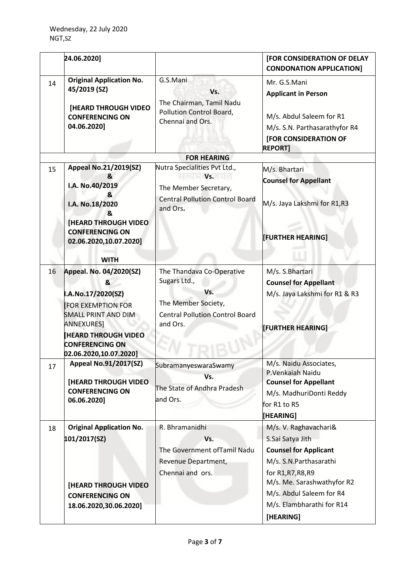|    | 24.06.2020]                                                                                                                                                                                                  |                                                                                                                               | [FOR CONSIDERATION OF DELAY<br><b>CONDONATION APPLICATION]</b>                                                                                           |
|----|--------------------------------------------------------------------------------------------------------------------------------------------------------------------------------------------------------------|-------------------------------------------------------------------------------------------------------------------------------|----------------------------------------------------------------------------------------------------------------------------------------------------------|
| 14 | <b>Original Application No.</b><br>45/2019 (SZ)<br>[HEARD THROUGH VIDEO<br><b>CONFERENCING ON</b><br>04.06.2020]                                                                                             | G.S.Mani<br>Vs.<br>The Chairman, Tamil Nadu<br>Pollution Control Board,<br>Chennai and Ors.                                   | Mr. G.S.Mani<br><b>Applicant in Person</b><br>M/s. Abdul Saleem for R1<br>M/s. S.N. Parthasarathyfor R4<br>[FOR CONSIDERATION OF<br><b>REPORT]</b>       |
|    |                                                                                                                                                                                                              | <b>FOR HEARING</b>                                                                                                            |                                                                                                                                                          |
| 15 | <b>Appeal No.21/2019(SZ)</b><br>&<br>I.A. No.40/2019<br>&<br>I.A. No.18/2020<br>&<br><b>[HEARD THROUGH VIDEO]</b>                                                                                            | Nutra Specialities Pvt Ltd.,<br>Vs.<br>The Member Secretary,<br><b>Central Pollution Control Board</b><br>and Ors.            | M/s. Bhartari<br><b>Counsel for Appellant</b><br>M/s. Jaya Lakshmi for R1,R3                                                                             |
|    | <b>CONFERENCING ON</b><br>02.06.2020,10.07.2020]<br><b>WITH</b>                                                                                                                                              |                                                                                                                               | [FURTHER HEARING]                                                                                                                                        |
| 16 | Appeal. No. 04/2020(SZ)<br>&<br>I.A.No.17/2020(SZ)<br><b>FOR EXEMPTION FOR</b><br>SMALL PRINT AND DIM<br><b>ANNEXURES]</b><br><b>HEARD THROUGH VIDEO</b><br><b>CONFERENCING ON</b><br>02.06.2020,10.07.2020] | The Thandava Co-Operative<br>Sugars Ltd.,<br>Vs.<br>The Member Society,<br><b>Central Pollution Control Board</b><br>and Ors. | M/s. S.Bhartari<br><b>Counsel for Appellant</b><br>M/s. Jaya Lakshmi for R1 & R3<br><b>[FURTHER HEARING]</b>                                             |
| 17 | <b>Appeal No.91/2017(SZ)</b><br><b>[HEARD THROUGH VIDEO</b><br><b>CONFERENCING ON</b><br>06.06.2020]                                                                                                         | SubramanyeswaraSwamy<br>Vs.<br>The State of Andhra Pradesh<br>and Ors.                                                        | M/s. Naidu Associates,<br>P.Venkaiah Naidu<br><b>Counsel for Appellant</b><br>M/s. MadhuriDonti Reddy<br>for R1 to R5<br>[HEARING]                       |
| 18 | <b>Original Application No.</b><br>101/2017(SZ)                                                                                                                                                              | R. Bhramanidhi<br>Vs.<br>The Government ofTamil Nadu<br>Revenue Department,<br>Chennai and ors.                               | M/s. V. Raghavachari&<br>S.Sai Satya Jith<br><b>Counsel for Applicant</b><br>M/s. S.N. Parthasarathi<br>for R1, R7, R8, R9<br>M/s. Me. Sarashwathyfor R2 |
|    | [HEARD THROUGH VIDEO                                                                                                                                                                                         |                                                                                                                               | M/s. Abdul Saleem for R4                                                                                                                                 |
|    | <b>CONFERENCING ON</b>                                                                                                                                                                                       |                                                                                                                               | M/s. Elambharathi for R14                                                                                                                                |
|    | 18.06.2020,30.06.2020]                                                                                                                                                                                       |                                                                                                                               | [HEARING]                                                                                                                                                |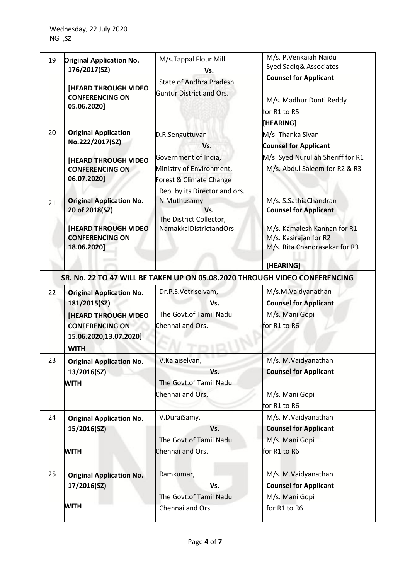| 19 | <b>Original Application No.</b><br>176/2017(SZ)<br><b>[HEARD THROUGH VIDEO</b><br><b>CONFERENCING ON</b><br>05.06.2020]                           | M/s.Tappal Flour Mill<br>Vs.<br>State of Andhra Pradesh,<br><b>Guntur District and Ors.</b>                                                            | M/s. P. Venkaiah Naidu<br>Syed Sadiq& Associates<br><b>Counsel for Applicant</b><br>M/s. MadhuriDonti Reddy<br>for R1 to R5<br>[HEARING]                    |
|----|---------------------------------------------------------------------------------------------------------------------------------------------------|--------------------------------------------------------------------------------------------------------------------------------------------------------|-------------------------------------------------------------------------------------------------------------------------------------------------------------|
| 20 | <b>Original Application</b><br>No.222/2017(SZ)<br><b>[HEARD THROUGH VIDEO</b><br><b>CONFERENCING ON</b><br>06.07.2020]                            | D.R.Senguttuvan<br>Vs.<br>Government of India,<br>Ministry of Environment,<br>Forest & Climate Change<br>Rep., by its Director and ors.                | M/s. Thanka Sivan<br><b>Counsel for Applicant</b><br>M/s. Syed Nurullah Sheriff for R1<br>M/s. Abdul Saleem for R2 & R3                                     |
| 21 | <b>Original Application No.</b><br>20 of 2018(SZ)<br><b>[HEARD THROUGH VIDEO</b><br><b>CONFERENCING ON</b><br>18.06.2020]                         | N.Muthusamy<br>Vs.<br>The District Collector,<br>NamakkalDistrictandOrs.<br>SR. No. 22 TO 47 WILL BE TAKEN UP ON 05.08.2020 THROUGH VIDEO CONFERENCING | M/s. S.SathiaChandran<br><b>Counsel for Applicant</b><br>M/s. Kamalesh Kannan for R1<br>M/s. Kasirajan for R2<br>M/s. Rita Chandrasekar for R3<br>[HEARING] |
| 22 | <b>Original Application No.</b><br>181/2015(SZ)<br><b>[HEARD THROUGH VIDEO</b><br><b>CONFERENCING ON</b><br>15.06.2020,13.07.2020]<br><b>WITH</b> | Dr.P.S.Vetriselvam,<br>Vs.<br>The Govt.of Tamil Nadu<br>Chennai and Ors.                                                                               | M/s.M.Vaidyanathan<br><b>Counsel for Applicant</b><br>M/s. Mani Gopi<br>for R1 to R6                                                                        |
| 23 | <b>Original Application No.</b><br>13/2016(SZ)<br><b>WITH</b>                                                                                     | V.Kalaiselvan,<br>Vs.<br>The Govt.of Tamil Nadu<br>Chennai and Ors.                                                                                    | M/s. M.Vaidyanathan<br><b>Counsel for Applicant</b><br>M/s. Mani Gopi<br>for R1 to R6                                                                       |
| 24 | <b>Original Application No.</b><br>15/2016(SZ)<br><b>WITH</b>                                                                                     | V.DuraiSamy,<br>Vs.<br>The Govt.of Tamil Nadu<br>Chennai and Ors.                                                                                      | M/s. M.Vaidyanathan<br><b>Counsel for Applicant</b><br>M/s. Mani Gopi<br>for R1 to R6                                                                       |
| 25 | <b>Original Application No.</b><br>17/2016(SZ)<br><b>WITH</b>                                                                                     | Ramkumar,<br>Vs.<br>The Govt.of Tamil Nadu<br>Chennai and Ors.                                                                                         | M/s. M.Vaidyanathan<br><b>Counsel for Applicant</b><br>M/s. Mani Gopi<br>for R1 to R6                                                                       |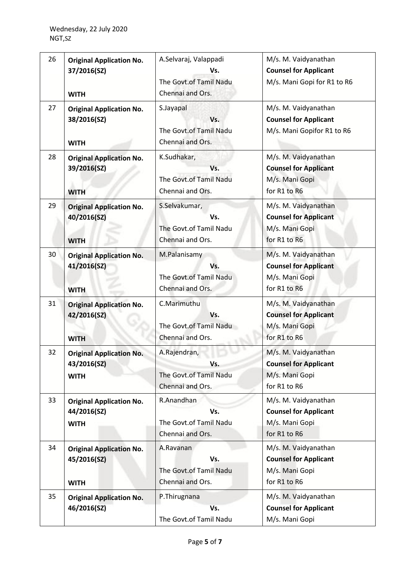| 26 | <b>Original Application No.</b><br>37/2016(SZ)<br><b>WITH</b> | A.Selvaraj, Valappadi<br>Vs.<br>The Govt.of Tamil Nadu<br>Chennai and Ors. | M/s. M. Vaidyanathan<br><b>Counsel for Applicant</b><br>M/s. Mani Gopi for R1 to R6    |
|----|---------------------------------------------------------------|----------------------------------------------------------------------------|----------------------------------------------------------------------------------------|
| 27 | <b>Original Application No.</b><br>38/2016(SZ)<br><b>WITH</b> | S.Jayapal<br>Vs.<br>The Govt.of Tamil Nadu<br>Chennai and Ors.             | M/s. M. Vaidyanathan<br><b>Counsel for Applicant</b><br>M/s. Mani Gopifor R1 to R6     |
| 28 | <b>Original Application No.</b><br>39/2016(SZ)<br><b>WITH</b> | K.Sudhakar,<br>Vs.<br>The Govt.of Tamil Nadu<br>Chennai and Ors.           | M/s. M. Vaidyanathan<br><b>Counsel for Applicant</b><br>M/s. Mani Gopi<br>for R1 to R6 |
| 29 | <b>Original Application No.</b><br>40/2016(SZ)<br><b>WITH</b> | S.Selvakumar,<br>Vs.<br>The Govt.of Tamil Nadu<br>Chennai and Ors.         | M/s. M. Vaidyanathan<br><b>Counsel for Applicant</b><br>M/s. Mani Gopi<br>for R1 to R6 |
| 30 | <b>Original Application No.</b><br>41/2016(SZ)<br><b>WITH</b> | M.Palanisamy<br>Vs.<br>The Govt.of Tamil Nadu<br>Chennai and Ors.          | M/s. M. Vaidyanathan<br><b>Counsel for Applicant</b><br>M/s. Mani Gopi<br>for R1 to R6 |
| 31 | <b>Original Application No.</b><br>42/2016(SZ)<br><b>WITH</b> | C.Marimuthu<br>Vs.<br>The Govt.of Tamil Nadu<br>Chennai and Ors.           | M/s. M. Vaidyanathan<br><b>Counsel for Applicant</b><br>M/s. Mani Gopi<br>for R1 to R6 |
| 32 | <b>Original Application No.</b><br>43/2016(SZ)<br><b>WITH</b> | A.Rajendran,<br>Vs.<br>The Govt.of Tamil Nadu<br>Chennai and Ors.          | M/s. M. Vaidyanathan<br><b>Counsel for Applicant</b><br>M/s. Mani Gopi<br>for R1 to R6 |
| 33 | <b>Original Application No.</b><br>44/2016(SZ)<br><b>WITH</b> | R.Anandhan<br>Vs.<br>The Govt.of Tamil Nadu<br>Chennai and Ors.            | M/s. M. Vaidyanathan<br><b>Counsel for Applicant</b><br>M/s. Mani Gopi<br>for R1 to R6 |
| 34 | <b>Original Application No.</b><br>45/2016(SZ)<br><b>WITH</b> | A.Ravanan<br>Vs.<br>The Govt.of Tamil Nadu<br>Chennai and Ors.             | M/s. M. Vaidyanathan<br><b>Counsel for Applicant</b><br>M/s. Mani Gopi<br>for R1 to R6 |
| 35 | <b>Original Application No.</b><br>46/2016(SZ)                | P.Thirugnana<br>Vs.<br>The Govt.of Tamil Nadu                              | M/s. M. Vaidyanathan<br><b>Counsel for Applicant</b><br>M/s. Mani Gopi                 |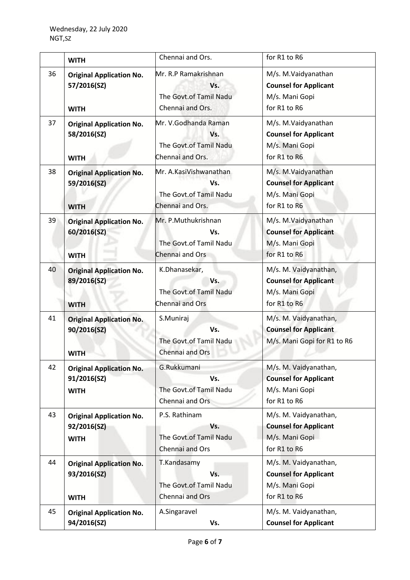|    | <b>WITH</b>                                                   | Chennai and Ors.                                                            | for R1 to R6                                                                            |
|----|---------------------------------------------------------------|-----------------------------------------------------------------------------|-----------------------------------------------------------------------------------------|
| 36 | <b>Original Application No.</b><br>57/2016(SZ)<br><b>WITH</b> | Mr. R.P Ramakrishnan<br>Vs.<br>The Govt.of Tamil Nadu<br>Chennai and Ors.   | M/s. M.Vaidyanathan<br><b>Counsel for Applicant</b><br>M/s. Mani Gopi<br>for R1 to R6   |
| 37 | <b>Original Application No.</b><br>58/2016(SZ)<br><b>WITH</b> | Mr. V.Godhanda Raman<br>Vs.<br>The Govt.of Tamil Nadu<br>Chennai and Ors.   | M/s. M.Vaidyanathan<br><b>Counsel for Applicant</b><br>M/s. Mani Gopi<br>for R1 to R6   |
| 38 | <b>Original Application No.</b><br>59/2016(SZ)<br><b>WITH</b> | Mr. A.KasiVishwanathan<br>Vs.<br>The Govt.of Tamil Nadu<br>Chennai and Ors. | M/s. M.Vaidyanathan<br><b>Counsel for Applicant</b><br>M/s. Mani Gopi<br>for R1 to R6   |
| 39 | <b>Original Application No.</b><br>60/2016(SZ)<br><b>WITH</b> | Mr. P.Muthukrishnan<br>Vs.<br>The Govt.of Tamil Nadu<br>Chennai and Ors     | M/s. M.Vaidyanathan<br><b>Counsel for Applicant</b><br>M/s. Mani Gopi<br>for R1 to R6   |
| 40 | <b>Original Application No.</b><br>89/2016(SZ)<br><b>WITH</b> | K.Dhanasekar,<br>Vs.<br>The Govt.of Tamil Nadu<br>Chennai and Ors           | M/s. M. Vaidyanathan,<br><b>Counsel for Applicant</b><br>M/s. Mani Gopi<br>for R1 to R6 |
| 41 | <b>Original Application No.</b><br>90/2016(SZ)<br><b>WITH</b> | S.Muniraj<br>Vs.<br>The Govt.of Tamil Nadu<br>Chennai and Ors               | M/s. M. Vaidyanathan,<br><b>Counsel for Applicant</b><br>M/s. Mani Gopi for R1 to R6    |
| 42 | <b>Original Application No.</b><br>91/2016(SZ)<br><b>WITH</b> | G.Rukkumani<br>Vs.<br>The Govt.of Tamil Nadu<br>Chennai and Ors             | M/s. M. Vaidyanathan,<br><b>Counsel for Applicant</b><br>M/s. Mani Gopi<br>for R1 to R6 |
| 43 | <b>Original Application No.</b><br>92/2016(SZ)<br><b>WITH</b> | P.S. Rathinam<br>Vs.<br>The Govt.of Tamil Nadu<br>Chennai and Ors           | M/s. M. Vaidyanathan,<br><b>Counsel for Applicant</b><br>M/s. Mani Gopi<br>for R1 to R6 |
| 44 | <b>Original Application No.</b><br>93/2016(SZ)<br><b>WITH</b> | T.Kandasamy<br>Vs.<br>The Govt.of Tamil Nadu<br>Chennai and Ors             | M/s. M. Vaidyanathan,<br><b>Counsel for Applicant</b><br>M/s. Mani Gopi<br>for R1 to R6 |
| 45 | <b>Original Application No.</b><br>94/2016(SZ)                | A.Singaravel<br>Vs.                                                         | M/s. M. Vaidyanathan,<br><b>Counsel for Applicant</b>                                   |